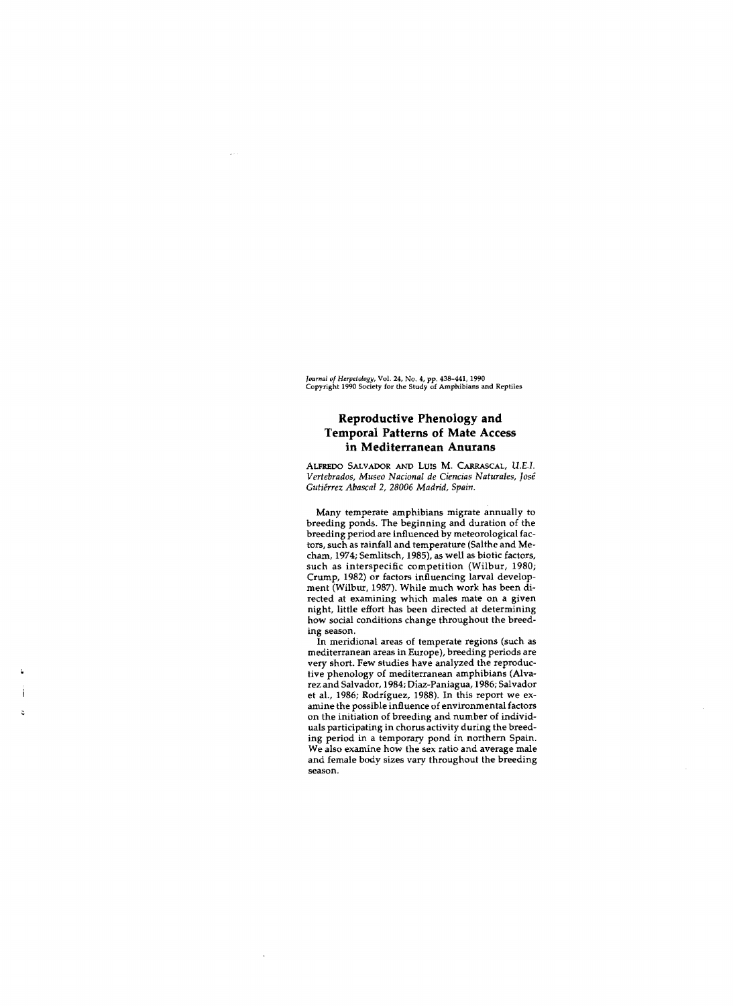*Journal 01 Herpetology,* Vol. 24, No. 4, pp. 438-441, 1990 Copyright 1990 Society for the Study of Amphibians and Reptiles

## **Reproductive Phenology and Temporal Patterns of Mate Access in Mediterranean Anurans**

ALFREDO SALVADOR ANO LUIS M. CARRASCAL, U.EJ. *Vertebrados, Museo Nacional de Ciencias Naturales, José Gutiérrez Abascal* 2, *28006 Madrid, Spain,* 

Many temperate amphibians migrate annually to breeding ponds. The beginning and duration of the breeding period are influenced by meteorological factors, such as rainfall and temperature (Salthe and Mecham, 1974; Semlitsch, 1985), as well as biotic factors, such as interspecific competition (Wilbur, 1980; Crump, 1982) or factors influencing larval development (Wilbur, 1987). While much work has been directed at examining which males mate on a given night, little effort has been directed at determining how social conditions change throughout the breeding season.

**In** meridional areas of temperate regions (such as mediterranean areas in Europe), breeding periods are very short. Few studies have analyzed the reproductive phenology of mediterranean amphibians (Alvarez and Salvador, 1984; Díaz-Paniagua, 1986; Salvador et al., 1986; Rodríguez, 1988). In this report we examine the possible influence of environmental factors on the initiation of breeding and number of individuals participating in chorus activity during the breeding period in a temporary pond in northern Spain. We also examine how the sex ratio and average male and female body sizes vary throughout the breeding season.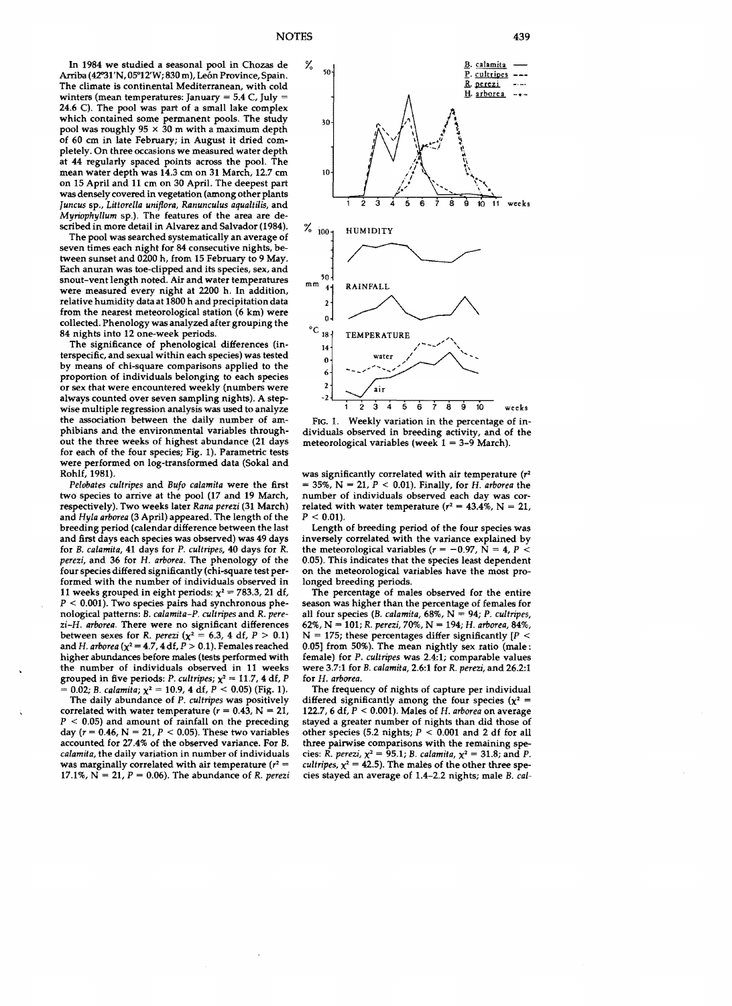In 1984 we studied a seasonal pool in Chozas de Arriba (42°31'N, 05°12'W; 830 m), León Province, Spain. The climate is continental Mediterranean, with cold winters (mean temperatures: January =  $5.4$  C, July = 24.6 C). The pool was part of a small lake complex which contained some permanent pools. The study pool was roughly  $95 \times 30$  m with a maximum depth of 60 cm in late February; in August it dried completely. On three occasions we measured water depth at 44 regularly spaced points acrass the pool. The mean water depth was 14.3 cm on 31 March, 12.7 cm on 15 April and 11 cm on 30 April. The deepest part was densely covered in vegetation (among other plants *Juncus* sp., *Littorella uniflora, Ranunculus aqualtilis,* and *Myriophyllum* sp.). The features of the area are described in more detail in Alvarez and Salvador (1984).

The pool was searched systematically an average of seven times each night for 84 consecutive nights, between sunset and 0200 h, from 15 February to 9 May. Each anuran was toe-clipped and its species, sex, and snout-vent length noted. Air and water temperatures were measured every night at 2200 h. In addition, relative humidity data at 1800 h and precipitation data from the nearest meteorological station (6 km) were collected. Phenology was analyzed after grouping the 84 níghts into 12 one-week periods.

The significance of phenological differences (interspecific, and sexual within each species) was tested by means of chi-square comparisons applied to the proportion of indivíduals belonging to each species or sex that were encountered weekly (numbers were always counted over seven sampling nights). A stepwise multiple regression analysis was used to analyze the association between the daily number of amphíbians and the environmental variables throughout the three weeks of highest abundance (21 days for each of the four species; Fig. 1). Parametric tests were performed on log-transformed data (Sokal and Rohlf, 1981).

*Pelabates cultripes* and *Bufo calamita* were the first two species to arrive at the pool (17 and 19 March, respectively). Two weeks later *Rana perezi* (31 March) and *Ryla arborea* (3 April) appeared. The length of the breeding period (calendar difference between the last and first days each species was observed) was 49 days for B. *calamita,* 41 days for P. *cultrípes,* 40 days for R. *perezi, and 36 for H. arborea. The phenology of the* four species differed sígnificantly (chi-square test performed with the number of individuals observed in 11 weeks grouped in eight periods:  $\chi^2 = 783.3$ , 21 df,  $P < 0.001$ ). Two species pairs had synchronous phenological patterns: B. *calamita-P. cultrípes* and R. *perezi-R. arborea.* There were no significant differences between sexes for *R. perezi* ( $\chi^2 = 6.3$ , 4 df,  $P > 0.1$ ) and *H. arborea* ( $\chi^2$  = 4.7, 4 df, *P* > 0.1). Females reached higher abundances before males (tests performed with the number of individuals observed in 11 weeks grouped in five periods: P. *cultripes*;  $\chi^2 = 11.7$ , 4 df, P 0.02; B. *calamita*;  $\chi^2 = 10.9$ , 4 df, P < 0.05) (Fig. 1).

The daily abundance of P. *cultripes* was positively correlated with water temperature ( $r = 0.43$ , N = 21,  $P < 0.05$ ) and amount of rainfall on the preceding day ( $r = 0.46$ ,  $N = 21$ ,  $P < 0.05$ ). These two variables accounted for 27.4% of the observed variance. For B. *calamita,* the daily variation in number of individuals was marginally correlated with air temperature  $(r^2 =$ 17.1%,  $N = 21$ ,  $P = 0.06$ ). The abundance of R. *perezi* 



FIG. 1. Weekly variation in the percentage of individuals observed in breeding activity, and of the meteorological variables (week  $1 = 3-9$  March).

was significantly correlated with air temperature (r*<sup>2</sup>*  $= 35\%$ , N = 21, P < 0.01). Finally, for *H. arborea* the number of individuals observed each day was correlated with water temperature  $(r^2 = 43.4\%, N = 21,$  $P < 0.01$ ).

Length of breeding period of the four species was inversely correlated with the variance explained by the meteorological variables  $(r = -0.97, N = 4, P <$ 0.05). This indicates that the species least dependent on the meteorological variables have the mast prolonged breeding periods.

The percentage of males observed for the entire season was higher than the percentage of females for aH four species (B. *calamita,* 68%, N 94; P. *cultrípes,*  62%, N = 101; *R. perezi, 70%*, N = 194; *H. arborea*, 84%,  $N = 175$ ; these percentages differ significantly  $[P \leq$ 0.05] from 50%). The mean night1y sex ratio (male: female) for P. *cultrípes* was 2.4:1; comparable values were 3.7:1 for B. *calamita,* 2.6:1 for R. *perezi,* and 26.2:1 for *H. arborea.* 

The frequency of nights of capture per individual differed significantly among the four species ( $\chi^2$  = 122.7, 6 df,  $P < 0.001$ ). Males of *H. arborea* on average stayed a greater number of nights than did those oí other species (5.2 nights;  $P < 0.001$  and 2 df for all three pairwise comparisons with the remaining species: R. *perezi*,  $\chi^2 = 95.1$ ; B. *calamita*,  $\chi^2 = 31.8$ ; and P. *cultripes,*  $\chi^2$  = 42.5). The males of the other three spedes stayed an average of 1.4-2.2 nights; male B. *cal*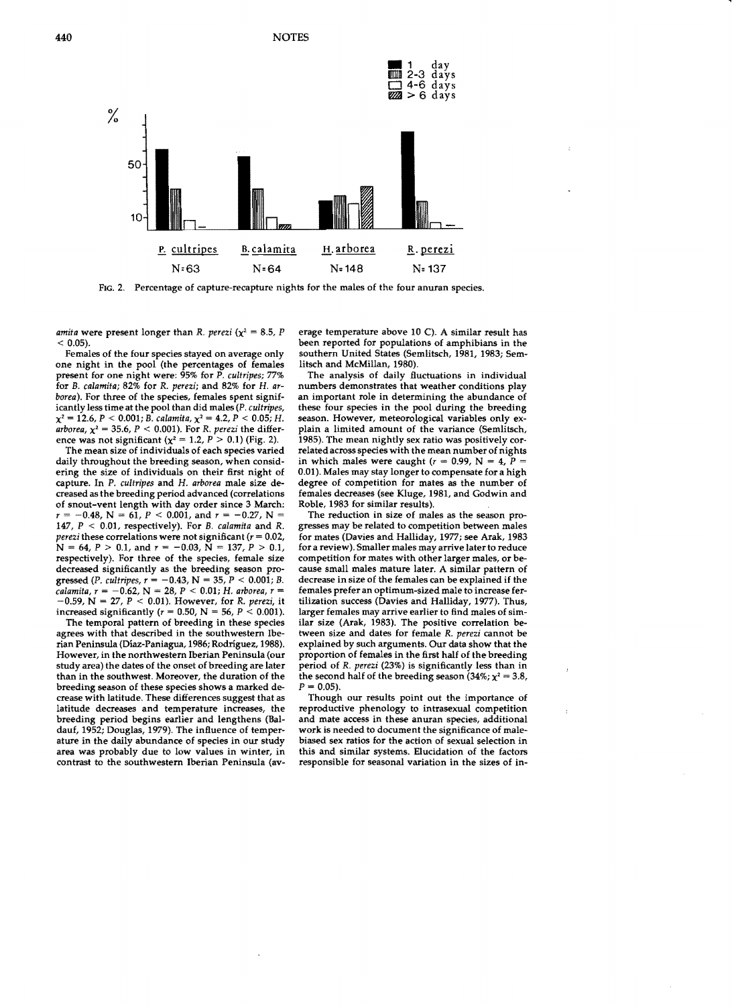

FIC. 2. Percentage of capture-recapture nights for the males of the four anuran species.

*amita* were present longer than R. *perezi* ( $\chi^2 = 8.5$ , P  $< 0.05$ ).

Females of the four specíes stayed on average only one night in the pool (the percentages of females present for one night were: 95% for P. *cultripes; 77%* for B. *calamita;* 82% for R. *perezi;* and 82% for H. *arboreal.* For three of the species, females spent significantIy less time at the pool than did males (P. *cultripes,*   $\chi^2 = 12.6$ ,  $P < 0.001$ ; B. *calamita*,  $\chi^2 = 4.2$ ,  $P < 0.05$ ; H. arborea,  $\chi^2 = 35.6$ ,  $P < 0.001$ ). For R. *perezi* the difference was not significant  $(x^2 = 1.2, P > 0.1)$  (Fig. 2).

The mean size of individuals of each specíes varied daily throughout the breeding season, when considering the size of individuals on their first night of capture. In P. *cu/tripes* and H. *arborea* male size decreased as the breeding period advanced (correlations of snout-vent length with day order since 3 March:  $r = -0.48$ , N = 61, P < 0.001, and  $r = -0.27$ , N = 147, *P* < 0.01, respectively). For B. *calamita* and R. *perezi* these correlations were not significant  $(r = 0.02,$  $N = 64$ ,  $P > 0.1$ , and  $r = -0.03$ ,  $N = 137$ ,  $P > 0.1$ , respectively). For three of the species, female size decreased significantly as the breeding season progressed (P. *cultripes, r* = -0.43, N = 35, P < 0.001; B. *calamita, r* = -0.62, N = 28, P < 0.01; H. *arborea, r* =  $-0.59$ , N = 27, P < 0.01). However, for R. *perezi*, it increased significantly ( $r = 0.50$ , N = 56, P < 0.001).

The temporal pattern of breeding in these species agrees with that described in the southwestern Iberian Peninsula (Díaz-Paniagua, 1986; Rodriguez, 1988). However, in the northwestern Iberian Península (our study area) the dates of the onset of breeding are later than in the southwest. Moreover, the duration of the breeding season of these species shows a marked decrease with latitude. These differences suggest that as latitude decreases and temperature increases, the breeding period begins earlier and lengthens (Baldauf, 1952; Douglas, 1979). The influence of temperature in the daily abundance of species in our study area was probably due to low values in winter, in contrast to the southwestern Iberian Peninsula (average temperature above 10 C). A similar result has been reported for populations of amphibians in the southern United States (Semlitsch, 1981, 1983; Semlitsch and McMillan, 1980).

The analysis of daily fluctuations in individual numbers demonstrates that weather conditions play an important role in determiníng the abundance of these four species in the pool during the breeding season. However, meteorological variables only explain a limited amount of the variance (Semlitsch, 1985). The mean nightly sex ratio was positively correlated across species with the mean number of nights in which males were caught ( $r = 0.99$ , N = 4, P = 0.01). Males may stay longer to compensate for a high degree of competition for mates as the number of females decreases (see Kluge, 1981, and Godwin and Roble, 1983 for similar results).

The reduction in size of males as the season progresses may be related to competition between males for mates (Davies and Halliday, 1977; see Arak, 1983 for a revíew). Smaller males may arrive later to reduce competition for mates with other larger males, or because small males mature later. A similar pattern of decrease in size of the females can be explained if the females prefer an optimum-sized male to increase fertilization success (Davies and Halliday, 1977). Thus, larger females may arrive earlier to find males of similar size (Arak, 1983). The positive correlation between size and dates for female R. *perezi* cannot be explained by such arguments. Our data show that the proportíon of females in the first half of the breeding period of R. *perezi* (23%) is significantly less than in the second half of the breeding season (34%;  $\chi^2 = 3.8$ ,  $P = 0.05$ ).

Though our results point out the importance of reproductive phenology to intrasexual competition and mate access in these anuran species, additional work is needed to document the significance of malebiased sex ratios for the action of sexual selection in this and similar systems. Elucidation of the fadors responsible for seasonal variation in the sizes of in

ţ.